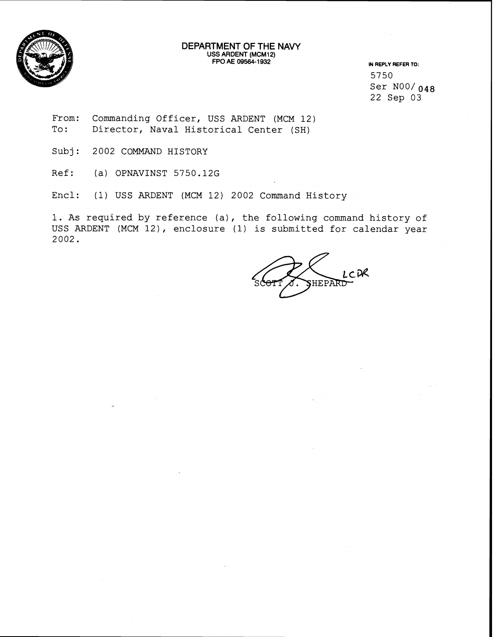

## **DEPARTMENT OF THE NAVY USS ARDENT (MCM12)**

**IN REPLY REFER TO:** 5750 Ser NOO/ **048**  22 Sep 03

From: Commanding Officer, USS ARDENT (MCM 12) To: Director, Naval Historical Center (SH)

Subj: 2002 COMMAND HISTORY

Ref: (a) OPNAVINST 5750.12G

Encl: (1) USS ARDENT (MCM 12) 2002 Command History

1. As required by reference (a), the following command history of USS ARDENT (MCM 12), enclosure (1) is submitted for calendar year 2002.

LCDR HEPARD: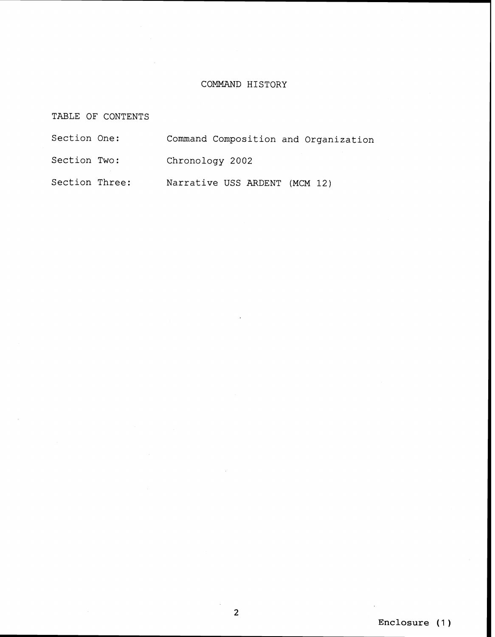## COMMAND HISTORY

TABLE OF CONTENTS

| Section One:   | Command Composition and Organization |
|----------------|--------------------------------------|
| Section Two:   | Chronology 2002                      |
| Section Three: | Narrative USS ARDENT (MCM 12)        |

**Enclosure** (1 )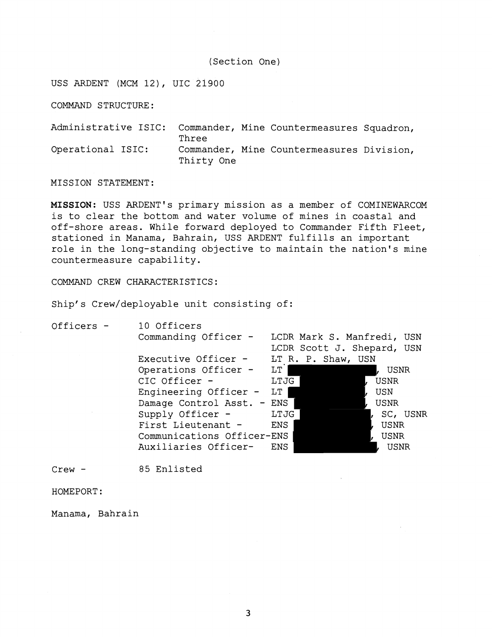## (Section One)

USS ARDENT (MCM 12), UIC 21900

COMMAND STRUCTURE:

Administrative ISIC: Commander, Mine Countermeasures Squadron, Three Operational ISIC: Commander, Mine Countermeasures Division, Thirty One

MISSION STATEMENT:

MISSION: USS ARDENT'S primary mission as a member of COMINEWARCOM is to clear the bottom and water volume of mines in coastal and off-shore areas. While forward deployed to Commander Fifth Fleet, stationed in Manama, Bahrain, USS ARDENT fulfills an important role in the long-standing objective to maintain the nation's mine countermeasure capability.

COMMAND CREW CHARACTERISTICS:

Ship's Crew/deployable unit consisting of:

| Officers - | 10 Officers                |                            |             |
|------------|----------------------------|----------------------------|-------------|
|            | Commanding Officer -       | LCDR Mark S. Manfredi, USN |             |
|            |                            | LCDR Scott J. Shepard, USN |             |
|            | Executive Officer -        | LT R. P. Shaw, USN         |             |
|            | Operations Officer -       | LT                         | USNR        |
|            | CIC Officer -              | LTJG                       | USNR        |
|            | Engineering Officer -      | LT                         | USN         |
|            | Damage Control Asst. - ENS |                            | <b>USNR</b> |
|            | Supply Officer -           | LTJG                       | SC, USNR    |
|            | First Lieutenant -         | <b>ENS</b>                 | USNR        |
|            | Communications Officer-ENS |                            | USNR        |
|            | Auxiliaries Officer-       | <b>ENS</b>                 | USNR        |
|            |                            |                            |             |

Crew - 85 Enlisted

HOMEPORT :

Manama, Bahrain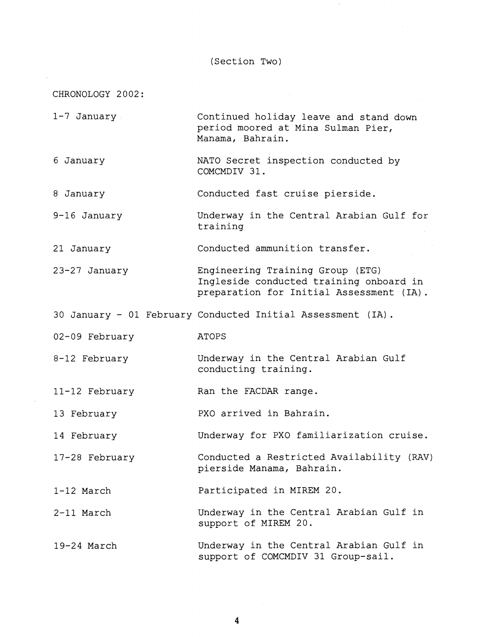(Section Two)

CHRONOLOGY 2002:

- 1-7 January Continued holiday leave and stand down period moored at Mina Sulman Pier, Manama, Bahrain.
- 6 January NATO Secret inspection conducted by COMCMDIV 31.

8 January Conducted fast cruise pierside.

9-16 January Underway in the Central Arabian Gulf for training

21 January Conducted ammunition transfer.

- 23-27 January Engineering Training Group (ETG) Ingleside conducted training onboard in preparation for Initial Assessment (IA).
- 30 January 01 February Conducted Initial Assessment (IA).
- 02-09 February ATOPS
- 8-12 February Underway in the Central Arabian Gulf conducting training.
- 11-12 February Ran the FACDAR range.

13 February PXO arrived in Bahrain.

- 14 February Underway for PXO familiarization cruise.
- 17-28 February Conducted a Restricted Availability (RAV) pierside Manama, Bahrain.

1-12 March Participated in MIREM 20.

- 2-11 March Underway in the Central Arabian Gulf in support of MIREM 20.
- 19-24 March Underway in the Central Arabian Gulf in support of COMCMDIV 31 Group-sail.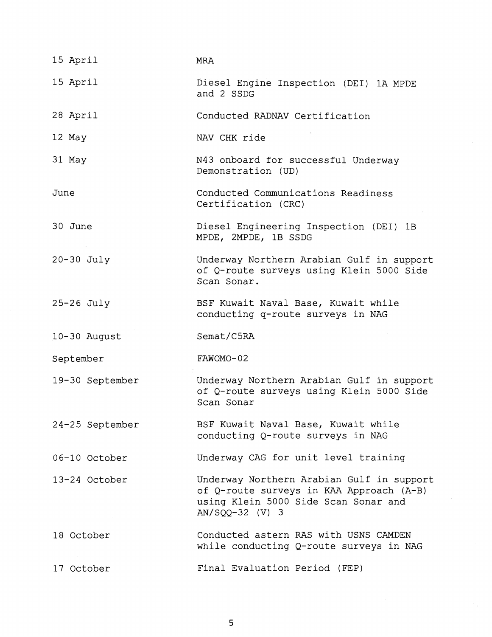| 15 April        | MRA                                                                                                                                                |
|-----------------|----------------------------------------------------------------------------------------------------------------------------------------------------|
| 15 April        | Diesel Engine Inspection (DEI) 1A MPDE<br>and 2 SSDG                                                                                               |
| 28 April        | Conducted RADNAV Certification                                                                                                                     |
| 12 May          | NAV CHK ride                                                                                                                                       |
| 31 May          | N43 onboard for successful Underway<br>Demonstration (UD)                                                                                          |
| June            | Conducted Communications Readiness<br>Certification (CRC)                                                                                          |
| 30 June         | Diesel Engineering Inspection (DEI) 1B<br>MPDE, 2MPDE, 1B SSDG                                                                                     |
| $20-30$ July    | Underway Northern Arabian Gulf in support<br>of Q-route surveys using Klein 5000 Side<br>Scan Sonar.                                               |
| $25-26$ July    | BSF Kuwait Naval Base, Kuwait while<br>conducting q-route surveys in NAG                                                                           |
| 10-30 August    | Semat/C5RA                                                                                                                                         |
| September       | FAWOMO-02                                                                                                                                          |
| 19-30 September | Underway Northern Arabian Gulf in support<br>of Q-route surveys using Klein 5000 Side<br>Scan Sonar                                                |
| 24-25 September | BSF Kuwait Naval Base, Kuwait while<br>conducting Q-route surveys in NAG                                                                           |
| 06-10 October   | Underway CAG for unit level training                                                                                                               |
| 13-24 October   | Underway Northern Arabian Gulf in support<br>of Q-route surveys in KAA Approach (A-B)<br>using Klein 5000 Side Scan Sonar and<br>$AN/SQQ-32 (V) 3$ |
| 18 October      | Conducted astern RAS with USNS CAMDEN<br>while conducting Q-route surveys in NAG                                                                   |
| 17 October      | Final Evaluation Period (FEP)                                                                                                                      |